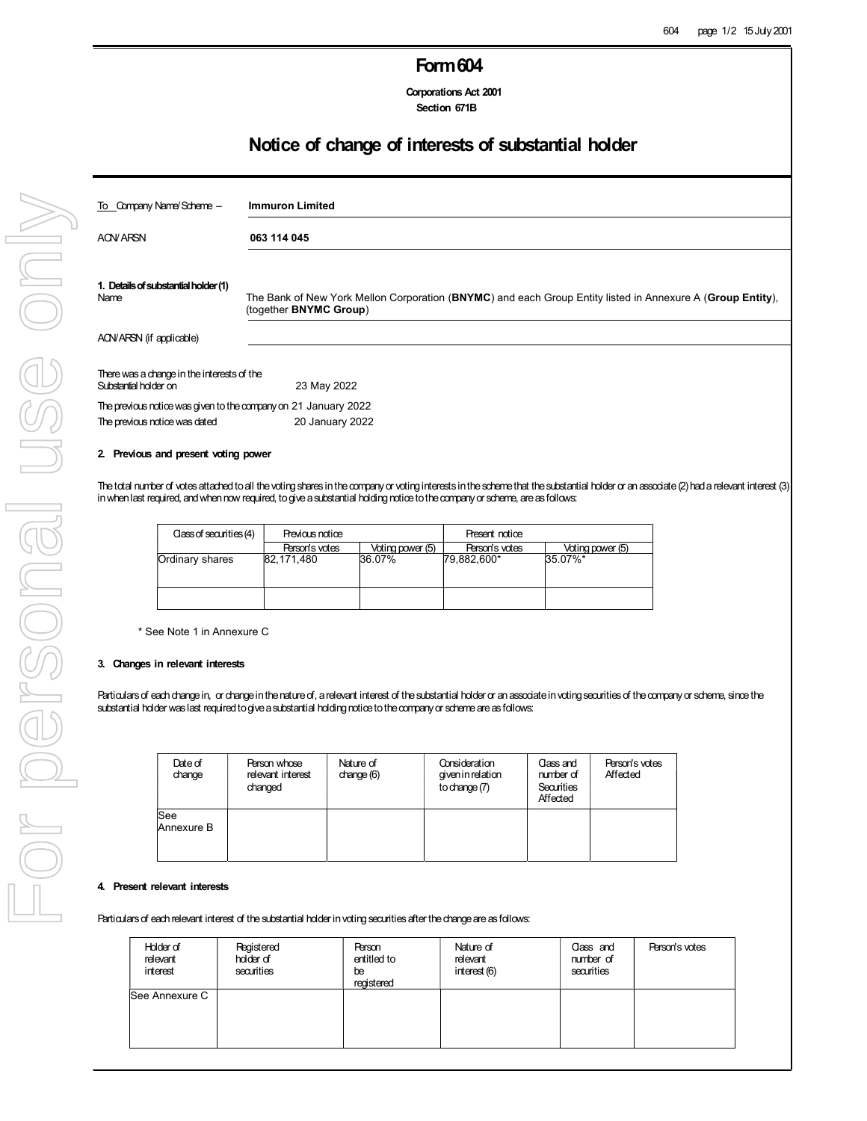## Form604

Corporations Act 2001 Section 671B

## Notice of change of interests of substantial holder

| <b>Immuron Limited</b>                                                                                                               |
|--------------------------------------------------------------------------------------------------------------------------------------|
| 063 114 045                                                                                                                          |
| The Bank of New York Mellon Corporation (BNYMC) and each Group Entity listed in Annexure A (Group Entity),<br>(together BNYMC Group) |
|                                                                                                                                      |
| There was a change in the interests of the<br>23 May 2022                                                                            |
| The previous notice was given to the company on 21 January 2022<br>20 January 2022                                                   |
|                                                                                                                                      |

### 2. Previous and present voting power

The total number of votes attached to all the voting shares in the company or voting interests in the scheme that the substantial holder or an associate (2) had a relevant interest (3) in when last required, and when now required, to give a substantial holding notice to the company or scheme, are as follows:

| Class of securities (4) | Previous notice |                  | Present notice |                  |
|-------------------------|-----------------|------------------|----------------|------------------|
|                         | Person's votes  | Voting power (5) | Person's votes | Voting power (5) |
| Ordinary shares         | 82.171.480      | 36.07%           | 79.882.600*    | 35.07%*          |
|                         |                 |                  |                |                  |

\* See Note 1 in Annexure C

### 3. Changes in relevant interests

Particulars of each change in, or change in the nature of, a relevant interest of the substantial holder or an associate in voting securities of the company or scheme, since the substantial holder was last required to give a substantial holding notice to the company or scheme are as follows:

| Date of<br>change | Person whose<br>relevant interest<br>changed | Nature of<br>change $(6)$ | Consideration<br>given in relation<br>to change $(7)$ | Class and<br>number of<br>Securities<br>Affected | Person's votes<br>Affected |
|-------------------|----------------------------------------------|---------------------------|-------------------------------------------------------|--------------------------------------------------|----------------------------|
| See<br>Annexure B |                                              |                           |                                                       |                                                  |                            |

### 4. Present relevant interests

Particulars of each relevant interest of the substantial holder in voting securities after the change are as follows:

| Holder of<br>relevant<br>interest | Registered<br>holder of<br>securities | <b>Person</b><br>entitled to<br>be<br>registered | Nature of<br>relevant<br>interest (6) | Class and<br>number of<br>securities | Person's votes |
|-----------------------------------|---------------------------------------|--------------------------------------------------|---------------------------------------|--------------------------------------|----------------|
| See Annexure C                    |                                       |                                                  |                                       |                                      |                |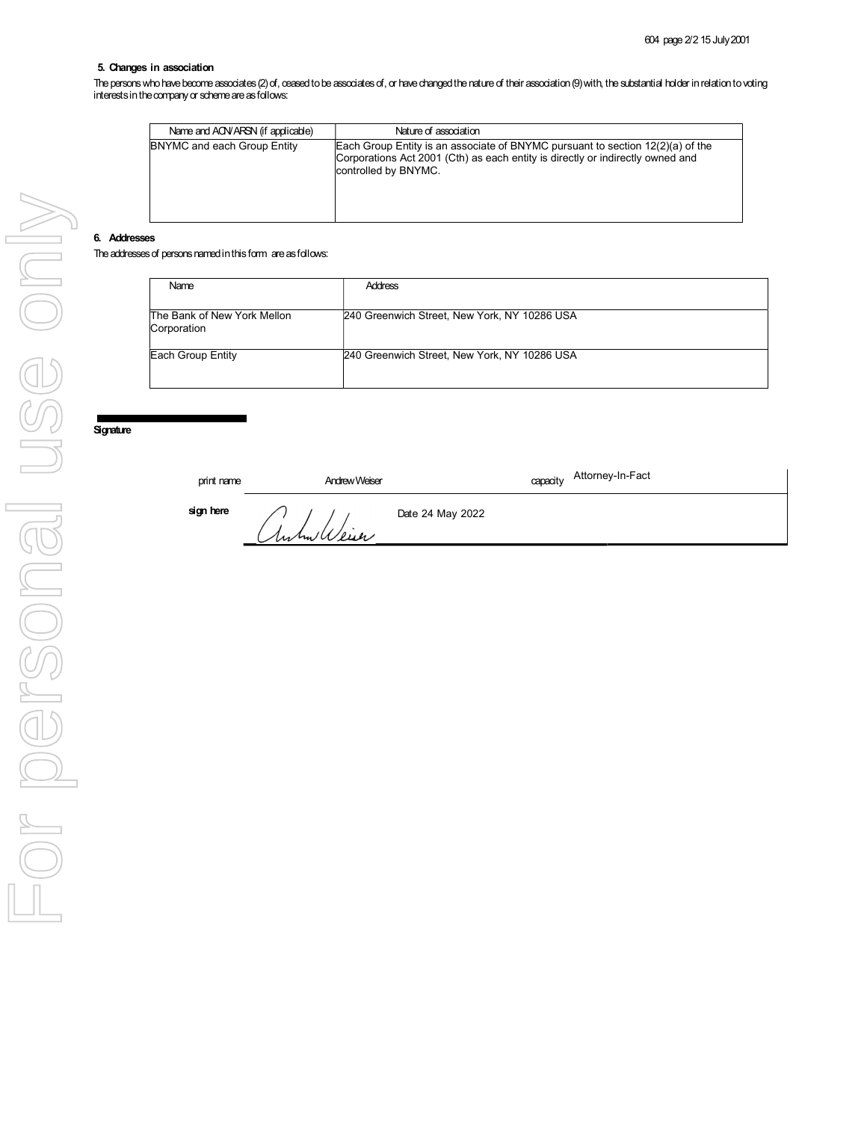### 5. Changes in association

The persons who have become associates (2) of, ceased to be associates of, or have changed the nature of their association (9) with, the substantial holder in relation to voting interests in the company or scheme are as follows:

| Name and ACN/ARSN (if applicable) | Nature of association                                                                                                                                                                      |
|-----------------------------------|--------------------------------------------------------------------------------------------------------------------------------------------------------------------------------------------|
| BNYMC and each Group Entity       | Each Group Entity is an associate of BNYMC pursuant to section $12(2)(a)$ of the<br>Corporations Act 2001 (Cth) as each entity is directly or indirectly owned and<br>controlled by BNYMC. |

#### 6. Addresses

The addresses of persons named in this form are as follows:

| Name                                       | <b>Address</b>                               |
|--------------------------------------------|----------------------------------------------|
| The Bank of New York Mellon<br>Corporation | 240 Greenwich Street, New York, NY 10286 USA |
| Each Group Entity                          | 240 Greenwich Street, New York, NY 10286 USA |

# **Signature**

| print name | <b>Andrew Weiser</b> | capacity Attorney-In-Fact |
|------------|----------------------|---------------------------|
| sign here  | Anhalleier           | Date 24 May 2022          |
|            |                      |                           |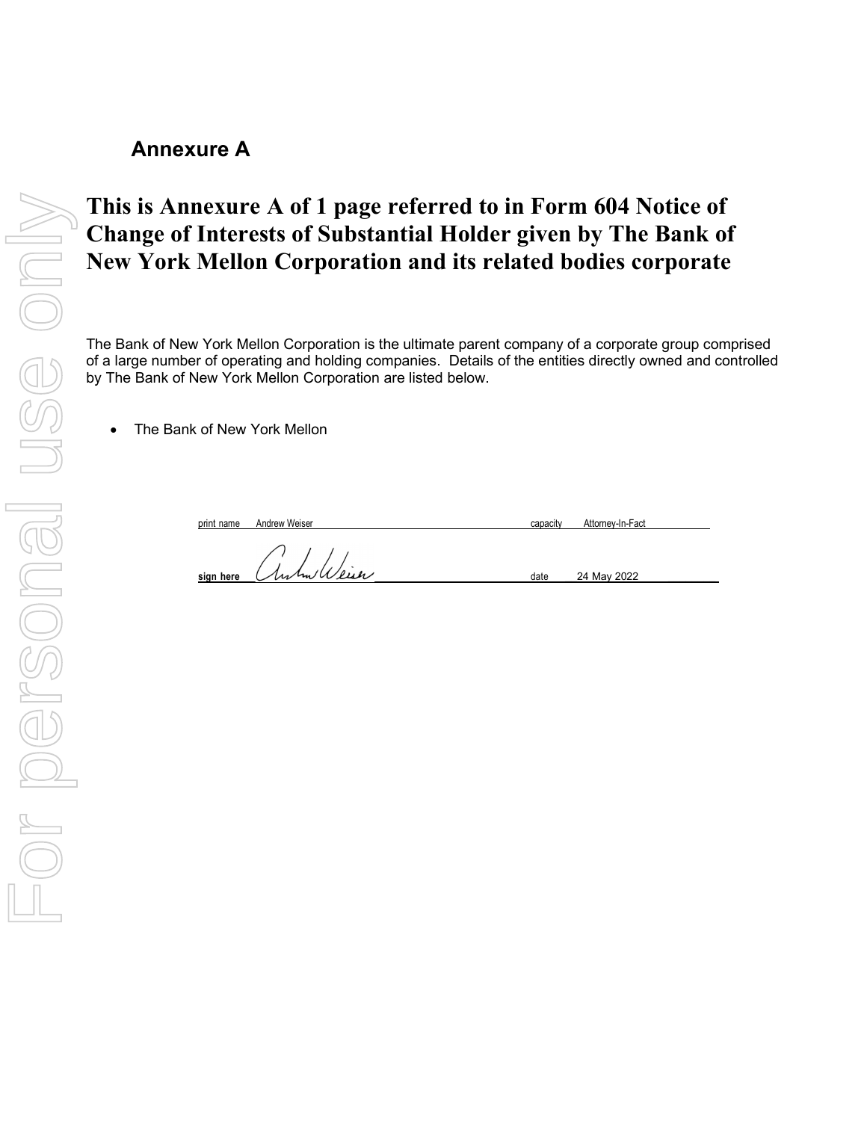# Annexure A

# This is Annexure A of 1 page referred to in Form 604 Notice of Change of Interests of Substantial Holder given by The Bank of New York Mellon Corporation and its related bodies corporate This is Annexure A of 1 page referred to in Form 604 Notice of<br>Change of Interests of Substantial Holder given by The Bank<br>New York Mellon Corporation and its related bodies corporate<br>of a large number of operation and bol

The Bank of New York Mellon Corporation is the ultimate parent company of a corporate group comprised of a large number of operating and holding companies. Details of the entities directly owned and controlled by The Bank of New York Mellon Corporation are listed below.

• The Bank of New York Mellon

print name Andrew Weiser capacity Attorney-In-Fact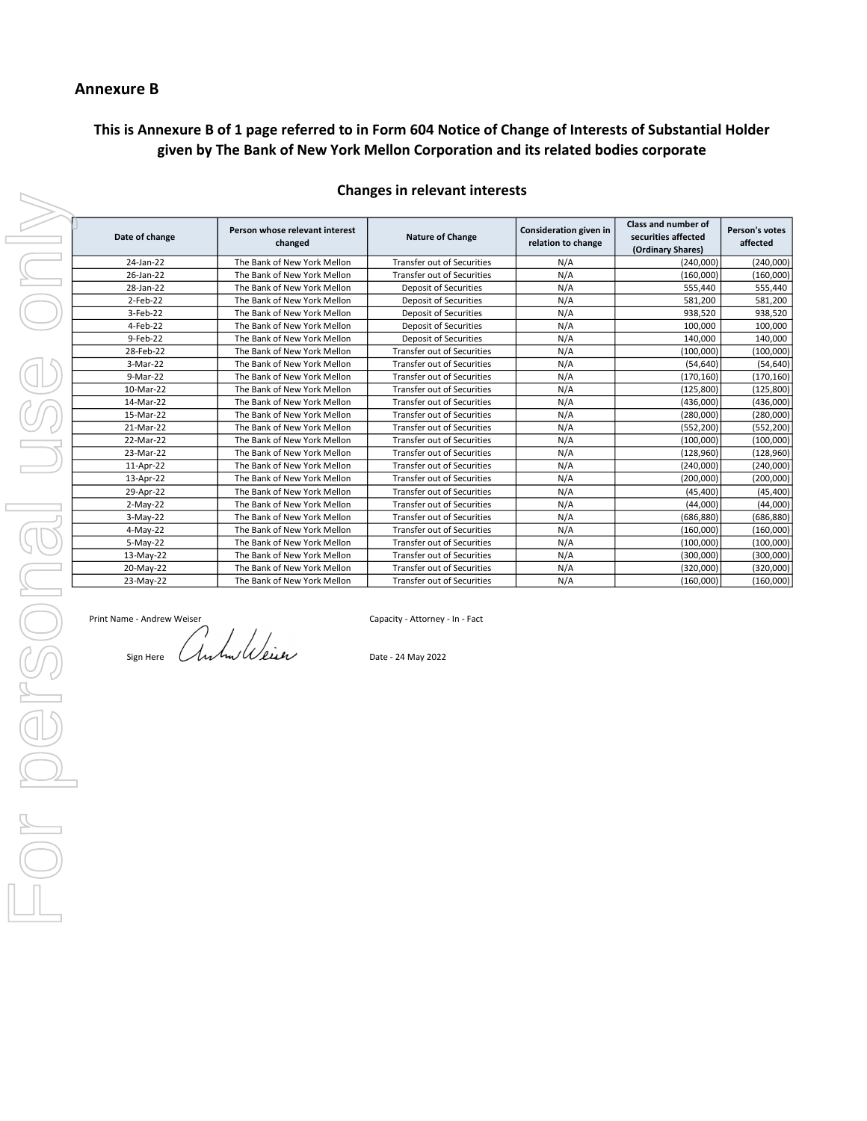## Annexure B

## This is Annexure B of 1 page referred to in Form 604 Notice of Change of Interests of Substantial Holder given by The Bank of New York Mellon Corporation and its related bodies corporate

| Date of change | Person whose relevant interest<br>changed | <b>Nature of Change</b>           | Consideration given in<br>relation to change | <b>Class and number of</b><br>securities affected<br>(Ordinary Shares) | Person's votes<br>affected |
|----------------|-------------------------------------------|-----------------------------------|----------------------------------------------|------------------------------------------------------------------------|----------------------------|
| 24-Jan-22      | The Bank of New York Mellon               | <b>Transfer out of Securities</b> | N/A                                          | (240,000)                                                              | (240,000)                  |
| 26-Jan-22      | The Bank of New York Mellon               | <b>Transfer out of Securities</b> | N/A                                          | (160,000)                                                              | (160,000)                  |
| 28-Jan-22      | The Bank of New York Mellon               | <b>Deposit of Securities</b>      | N/A                                          | 555,440                                                                | 555,440                    |
| $2$ -Feb-22    | The Bank of New York Mellon               | <b>Deposit of Securities</b>      | N/A                                          | 581,200                                                                | 581,200                    |
| 3-Feb-22       | The Bank of New York Mellon               | <b>Deposit of Securities</b>      | N/A                                          | 938,520                                                                | 938,520                    |
| 4-Feb-22       | The Bank of New York Mellon               | <b>Deposit of Securities</b>      | N/A                                          | 100,000                                                                | 100,000                    |
| 9-Feb-22       | The Bank of New York Mellon               | <b>Deposit of Securities</b>      | N/A                                          | 140,000                                                                | 140,000                    |
| 28-Feb-22      | The Bank of New York Mellon               | <b>Transfer out of Securities</b> | N/A                                          | (100, 000)                                                             | (100,000)                  |
| 3-Mar-22       | The Bank of New York Mellon               | <b>Transfer out of Securities</b> | N/A                                          | (54, 640)                                                              | (54, 640)                  |
| 9-Mar-22       | The Bank of New York Mellon               | <b>Transfer out of Securities</b> | N/A                                          | (170, 160)                                                             | (170, 160)                 |
| 10-Mar-22      | The Bank of New York Mellon               | <b>Transfer out of Securities</b> | N/A                                          | (125, 800)                                                             | (125, 800)                 |
| 14-Mar-22      | The Bank of New York Mellon               | <b>Transfer out of Securities</b> | N/A                                          | (436,000)                                                              | (436,000)                  |
| 15-Mar-22      | The Bank of New York Mellon               | <b>Transfer out of Securities</b> | N/A                                          | (280,000)                                                              | (280,000)                  |
| 21-Mar-22      | The Bank of New York Mellon               | <b>Transfer out of Securities</b> | N/A                                          | (552, 200)                                                             | (552, 200)                 |
| 22-Mar-22      | The Bank of New York Mellon               | <b>Transfer out of Securities</b> | N/A                                          | (100, 000)                                                             | (100,000)                  |
| 23-Mar-22      | The Bank of New York Mellon               | <b>Transfer out of Securities</b> | N/A                                          | (128, 960)                                                             | (128, 960)                 |
| 11-Apr-22      | The Bank of New York Mellon               | <b>Transfer out of Securities</b> | N/A                                          | (240,000)                                                              | (240,000)                  |
| 13-Apr-22      | The Bank of New York Mellon               | Transfer out of Securities        | N/A                                          | (200.000)                                                              | (200,000)                  |
| 29-Apr-22      | The Bank of New York Mellon               | <b>Transfer out of Securities</b> | N/A                                          | (45, 400)                                                              | (45, 400)                  |
| $2-May-22$     | The Bank of New York Mellon               | Transfer out of Securities        | N/A                                          | (44,000)                                                               | (44,000)                   |
| $3-May-22$     | The Bank of New York Mellon               | Transfer out of Securities        | N/A                                          | (686, 880)                                                             | (686, 880)                 |
| 4-May-22       | The Bank of New York Mellon               | Transfer out of Securities        | N/A                                          | (160,000)                                                              | (160,000)                  |
| 5-May-22       | The Bank of New York Mellon               | <b>Transfer out of Securities</b> | N/A                                          | (100,000)                                                              | (100,000)                  |
| 13-May-22      | The Bank of New York Mellon               | <b>Transfer out of Securities</b> | N/A                                          | (300,000)                                                              | (300,000)                  |
| 20-May-22      | The Bank of New York Mellon               | <b>Transfer out of Securities</b> | N/A                                          | (320,000)                                                              | (320,000)                  |
| 23-May-22      | The Bank of New York Mellon               | <b>Transfer out of Securities</b> | N/A                                          | (160,000)                                                              | (160,000)                  |

### Changes in relevant interests

Print Name - Andrew Weiser Capacity - Attorney - In - Fact

Sign Here  $\bigcup_{\mathcal{U}}\mathcal{U}$   $\mathcal{U}$   $\mathcal{U}$   $\mathcal{U}$   $\mathcal{U}$   $\mathcal{U}$   $\mathcal{U}$   $\mathcal{U}$   $\mathcal{U}$   $\mathcal{U}$   $\mathcal{U}$   $\mathcal{U}$   $\mathcal{U}$   $\mathcal{U}$   $\mathcal{U}$   $\mathcal{U}$   $\mathcal{U}$   $\mathcal{U}$   $\mathcal{U}$   $\mathcal{U}$   $\mathcal{U}$   $\mathcal{U}$   $\math$